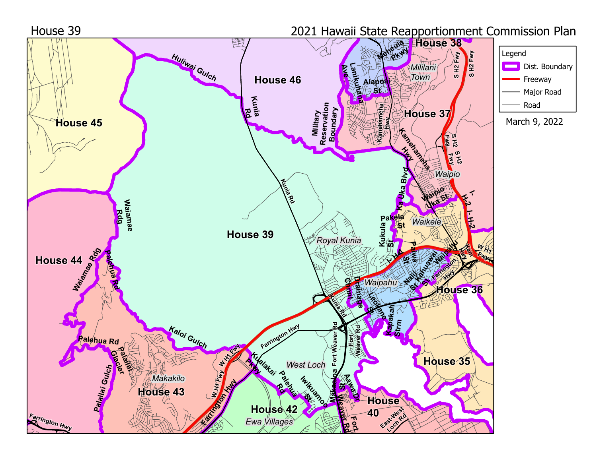